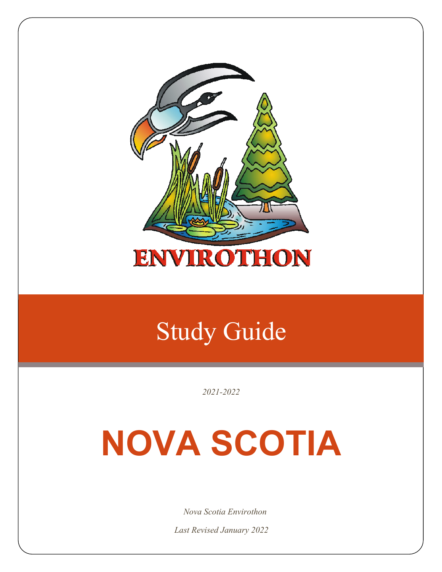

## Study Guide

*2021-2022*

# **NOVA SCOTIA**

*Nova Scotia Envirothon* 

*Last Revised January 2022*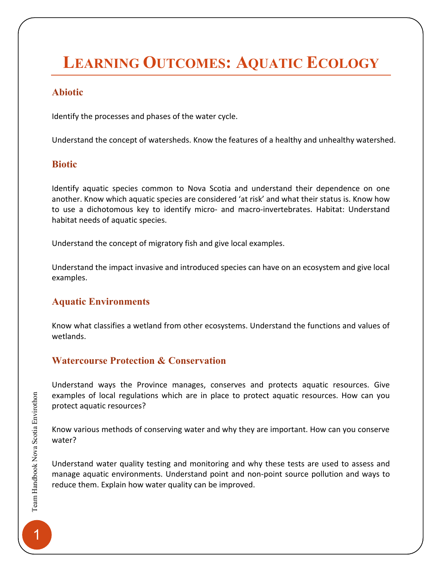### **LEARNING OUTCOMES: AQUATIC ECOLOGY**

### **Abiotic**

Identify the processes and phases of the water cycle.

Understand the concept of watersheds. Know the features of a healthy and unhealthy watershed.

### **Biotic**

Identify aquatic species common to Nova Scotia and understand their dependence on one another. Know which aquatic species are considered 'at risk' and what their status is. Know how to use a dichotomous key to identify micro- and macro-invertebrates. Habitat: Understand habitat needs of aquatic species.

Understand the concept of migratory fish and give local examples.

Understand the impact invasive and introduced species can have on an ecosystem and give local examples.

### **Aquatic Environments**

Know what classifies a wetland from other ecosystems. Understand the functions and values of wetlands.

### **Watercourse Protection & Conservation**

Understand ways the Province manages, conserves and protects aquatic resources. Give examples of local regulations which are in place to protect aquatic resources. How can you protect aquatic resources?

Know various methods of conserving water and why they are important. How can you conserve water?

Understand water quality testing and monitoring and why these tests are used to assess and manage aquatic environments. Understand point and non-point source pollution and ways to reduce them. Explain how water quality can be improved.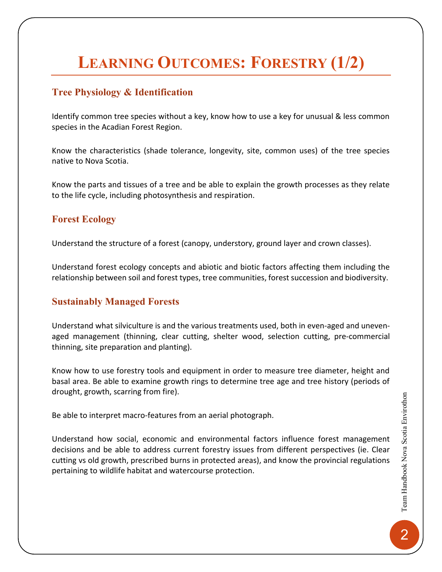### **LEARNING OUTCOMES: FORESTRY (1/2)**

### **Tree Physiology & Identification**

Identify common tree species without a key, know how to use a key for unusual & less common species in the Acadian Forest Region.

Know the characteristics (shade tolerance, longevity, site, common uses) of the tree species native to Nova Scotia.

Know the parts and tissues of a tree and be able to explain the growth processes as they relate to the life cycle, including photosynthesis and respiration.

### **Forest Ecology**

Understand the structure of a forest (canopy, understory, ground layer and crown classes).

Understand forest ecology concepts and abiotic and biotic factors affecting them including the relationship between soil and forest types, tree communities, forest succession and biodiversity.

### **Sustainably Managed Forests**

Understand what silviculture is and the various treatments used, both in even-aged and unevenaged management (thinning, clear cutting, shelter wood, selection cutting, pre-commercial thinning, site preparation and planting).

Know how to use forestry tools and equipment in order to measure tree diameter, height and basal area. Be able to examine growth rings to determine tree age and tree history (periods of drought, growth, scarring from fire).

Be able to interpret macro-features from an aerial photograph.

Understand how social, economic and environmental factors influence forest management decisions and be able to address current forestry issues from different perspectives (ie. Clear cutting vs old growth, prescribed burns in protected areas), and know the provincial regulations pertaining to wildlife habitat and watercourse protection.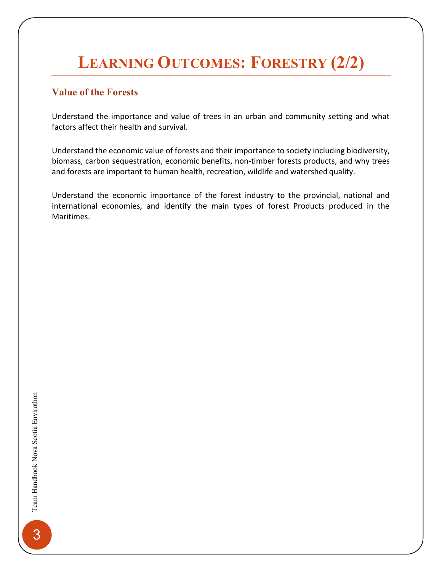### **LEARNING OUTCOMES: FORESTRY (2/2)**

### **Value of the Forests**

Understand the importance and value of trees in an urban and community setting and what factors affect their health and survival.

Understand the economic value of forests and their importance to society including biodiversity, biomass, carbon sequestration, economic benefits, non-timber forests products, and why trees and forests are important to human health, recreation, wildlife and watershed quality.

Understand the economic importance of the forest industry to the provincial, national and international economies, and identify the main types of forest Products produced in the Maritimes.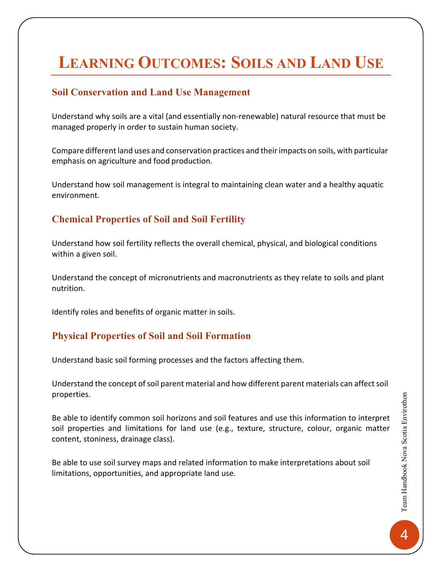### **LEARNING OUTCOMES: SOILS AND LAND USE**

### **Soil Conservation and Land Use Management**

Understand why soils are a vital (and essentially non-renewable) natural resource that must be managed properly in order to sustain human society.

Compare different land uses and conservation practices and their impacts on soils, with particular emphasis on agriculture and food production.

Understand how soil management is integral to maintaining clean water and a healthy aquatic environment.

### **Chemical Properties of Soil and Soil Fertility**

Understand how soil fertility reflects the overall chemical, physical, and biological conditions within a given soil.

Understand the concept of micronutrients and macronutrients as they relate to soils and plant nutrition.

Identify roles and benefits of organic matter in soils.

### **Physical Properties of Soil and Soil Formation**

Understand basic soil forming processes and the factors affecting them.

Understand the concept of soil parent material and how different parent materials can affect soil properties.

Be able to identify common soil horizons and soil features and use this information to interpret soil properties and limitations for land use (e.g., texture, structure, colour, organic matter content, stoniness, drainage class).

Be able to use soil survey maps and related information to make interpretations about soil limitations, opportunities, and appropriate land use.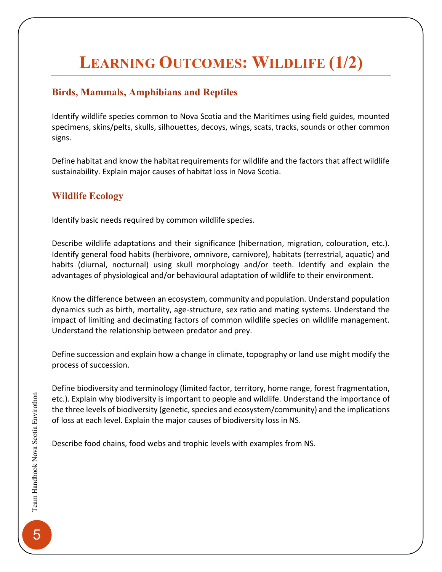### **LEARNING OUTCOMES: WILDLIFE (1/2)**

### **Birds, Mammals, Amphibians and Reptiles**

Identify wildlife species common to Nova Scotia and the Maritimes using field guides, mounted specimens, skins/pelts, skulls, silhouettes, decoys, wings, scats, tracks, sounds or other common signs.

Define habitat and know the habitat requirements for wildlife and the factors that affect wildlife sustainability. Explain major causes of habitat loss in Nova Scotia.

### **Wildlife Ecology**

Identify basic needs required by common wildlife species.

Describe wildlife adaptations and their significance (hibernation, migration, colouration, etc.). Identify general food habits (herbivore, omnivore, carnivore), habitats (terrestrial, aquatic) and habits (diurnal, nocturnal) using skull morphology and/or teeth. Identify and explain the advantages of physiological and/or behavioural adaptation of wildlife to their environment.

Know the difference between an ecosystem, community and population. Understand population dynamics such as birth, mortality, age-structure, sex ratio and mating systems. Understand the impact of limiting and decimating factors of common wildlife species on wildlife management. Understand the relationship between predator and prey.

Define succession and explain how a change in climate, topography or land use might modify the process of succession.

Define biodiversity and terminology (limited factor, territory, home range, forest fragmentation, etc.). Explain why biodiversity is important to people and wildlife. Understand the importance of the three levels of biodiversity (genetic, species and ecosystem/community) and the implications of loss at each level. Explain the major causes of biodiversity loss in NS.

Describe food chains, food webs and trophic levels with examples from NS.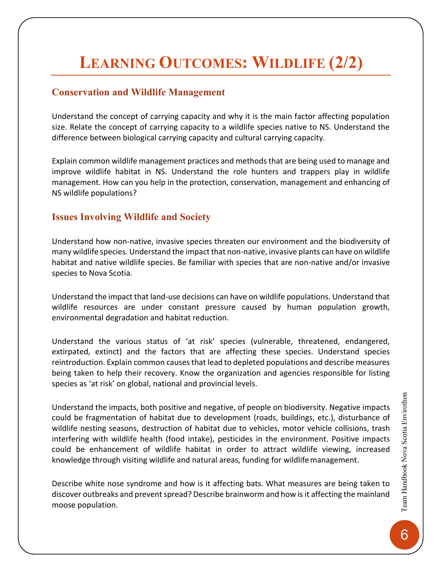### **LEARNING OUTCOMES: WILDLIFE (2/2)**

#### **Conservation and Wildlife Management**

Understand the concept of carrying capacity and why it is the main factor affecting population size. Relate the concept of carrying capacity to a wildlife species native to NS. Understand the difference between biological carrying capacity and cultural carrying capacity.

Explain common wildlife management practices and methods that are being used to manage and improve wildlife habitat in NS. Understand the role hunters and trappers play in wildlife management. How can you help in the protection, conservation, management and enhancing of NS wildlife populations?

### **Issues Involving Wildlife and Society**

Understand how non-native, invasive species threaten our environment and the biodiversity of many wildlife species. Understand the impact that non-native, invasive plants can have on wildlife habitat and native wildlife species. Be familiar with species that are non-native and/or invasive species to Nova Scotia.

Understand the impact that land-use decisions can have on wildlife populations. Understand that wildlife resources are under constant pressure caused by human population growth, environmental degradation and habitat reduction.

Understand the various status of 'at risk' species (vulnerable, threatened, endangered, extirpated, extinct) and the factors that are affecting these species. Understand species reintroduction. Explain common causes that lead to depleted populations and describe measures being taken to help their recovery. Know the organization and agencies responsible for listing species as 'at risk' on global, national and provincial levels.

Understand the impacts, both positive and negative, of people on biodiversity. Negative impacts could be fragmentation of habitat due to development (roads, buildings, etc.), disturbance of wildlife nesting seasons, destruction of habitat due to vehicles, motor vehicle collisions, trash interfering with wildlife health (food intake), pesticides in the environment. Positive impacts could be enhancement of wildlife habitat in order to attract wildlife viewing, increased knowledge through visiting wildlife and natural areas, funding for wildlife management.

Describe white nose syndrome and how is it affecting bats. What measures are being taken to discover outbreaks and prevent spread? Describe brainworm and how isit affecting the mainland moose population.